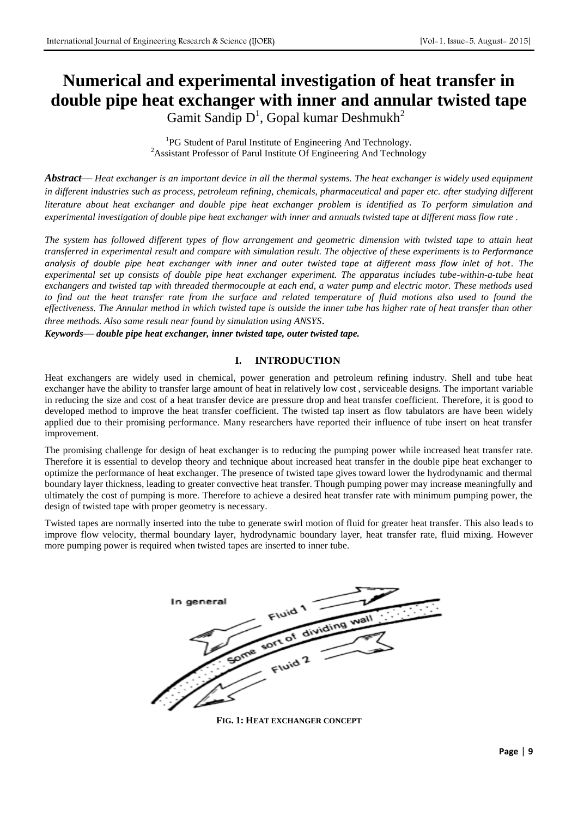# **Numerical and experimental investigation of heat transfer in double pipe heat exchanger with inner and annular twisted tape** Gamit Sandip  $D^1$ , Gopal kumar Deshmukh<sup>2</sup>

<sup>1</sup>PG Student of Parul Institute of Engineering And Technology. <sup>2</sup> Assistant Professor of Parul Institute Of Engineering And Technology

*Abstract***—** *Heat exchanger is an important device in all the thermal systems. The heat exchanger is widely used equipment in different industries such as process, petroleum refining, chemicals, pharmaceutical and paper etc. after studying different literature about heat exchanger and double pipe heat exchanger problem is identified as To perform simulation and experimental investigation of double pipe heat exchanger with inner and annuals twisted tape at different mass flow rate .*

*The system has followed different types of flow arrangement and geometric dimension with twisted tape to attain heat transferred in experimental result and compare with simulation result. The objective of these experiments is to Performance analysis of double pipe heat exchanger with inner and outer twisted tape at different mass flow inlet of hot. The experimental set up consists of double pipe heat exchanger experiment. The apparatus includes tube-within-a-tube heat exchangers and twisted tap with threaded thermocouple at each end, a water pump and electric motor. These methods used*  to find out the heat transfer rate from the surface and related temperature of fluid motions also used to found the *effectiveness. The Annular method in which twisted tape is outside the inner tube has higher rate of heat transfer than other three methods. Also same result near found by simulation using ANSYS*.

*Keywords***—** *double pipe heat exchanger, inner twisted tape, outer twisted tape.*

## **I. INTRODUCTION**

Heat exchangers are widely used in chemical, power generation and petroleum refining industry. Shell and tube heat exchanger have the ability to transfer large amount of heat in relatively low cost , serviceable designs. The important variable in reducing the size and cost of a heat transfer device are pressure drop and heat transfer coefficient. Therefore, it is good to developed method to improve the heat transfer coefficient. The twisted tap insert as flow tabulators are have been widely applied due to their promising performance. Many researchers have reported their influence of tube insert on heat transfer improvement.

The promising challenge for design of heat exchanger is to reducing the pumping power while increased heat transfer rate. Therefore it is essential to develop theory and technique about increased heat transfer in the double pipe heat exchanger to optimize the performance of heat exchanger. The presence of twisted tape gives toward lower the hydrodynamic and thermal boundary layer thickness, leading to greater convective heat transfer. Though pumping power may increase meaningfully and ultimately the cost of pumping is more. Therefore to achieve a desired heat transfer rate with minimum pumping power, the design of twisted tape with proper geometry is necessary.

Twisted tapes are normally inserted into the tube to generate swirl motion of fluid for greater heat transfer. This also leads to improve flow velocity, thermal boundary layer, hydrodynamic boundary layer, heat transfer rate, fluid mixing. However more pumping power is required when twisted tapes are inserted to inner tube.



**FIG. 1: HEAT EXCHANGER CONCEPT**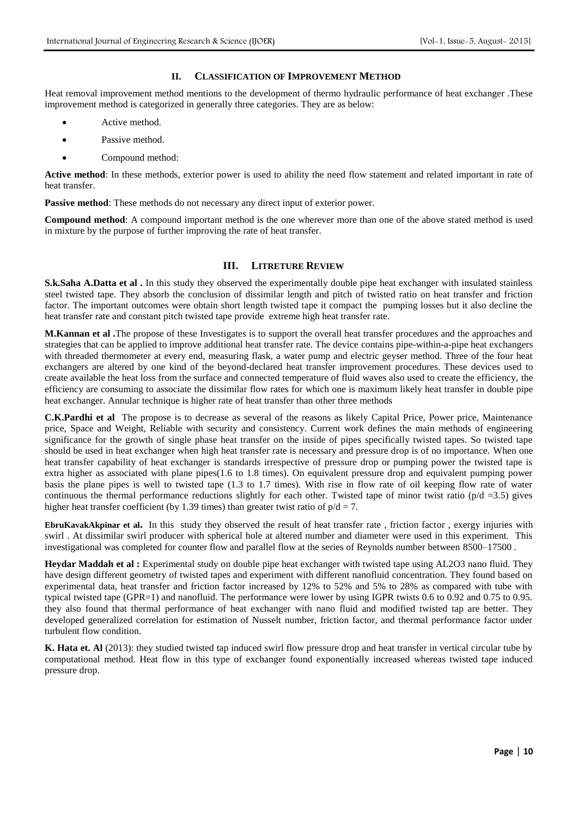### **II. CLASSIFICATION OF IMPROVEMENT METHOD**

Heat removal improvement method mentions to the development of thermo hydraulic performance of heat exchanger .These improvement method is categorized in generally three categories. They are as below:

- Active method.
- Passive method.
- Compound method:

**Active method**: In these methods, exterior power is used to ability the need flow statement and related important in rate of heat transfer.

**Passive method**: These methods do not necessary any direct input of exterior power.

**Compound method**: A compound important method is the one wherever more than one of the above stated method is used in mixture by the purpose of further improving the rate of heat transfer.

### **III. LITRETURE REVIEW**

**S.k.Saha A.Datta et al.** In this study they observed the experimentally double pipe heat exchanger with insulated stainless steel twisted tape. They absorb the conclusion of dissimilar length and pitch of twisted ratio on heat transfer and friction factor. The important outcomes were obtain short length twisted tape it compact the pumping losses but it also decline the heat transfer rate and constant pitch twisted tape provide extreme high heat transfer rate.

**M.Kannan et al .**The propose of these Investigates is to support the overall heat transfer procedures and the approaches and strategies that can be applied to improve additional heat transfer rate. The device contains pipe-within-a-pipe heat exchangers with threaded thermometer at every end, measuring flask, a water pump and electric geyser method. Three of the four heat exchangers are altered by one kind of the beyond-declared heat transfer improvement procedures. These devices used to create available the heat loss from the surface and connected temperature of fluid waves also used to create the efficiency, the efficiency are consuming to associate the dissimilar flow rates for which one is maximum likely heat transfer in double pipe heat exchanger. Annular technique is higher rate of heat transfer than other three methods

**C.K.Pardhi et al** The propose is to decrease as several of the reasons as likely Capital Price, Power price, Maintenance price, Space and Weight, Reliable with security and consistency. Current work defines the main methods of engineering significance for the growth of single phase heat transfer on the inside of pipes specifically twisted tapes. So twisted tape should be used in heat exchanger when high heat transfer rate is necessary and pressure drop is of no importance. When one heat transfer capability of heat exchanger is standards irrespective of pressure drop or pumping power the twisted tape is extra higher as associated with plane pipes(1.6 to 1.8 times). On equivalent pressure drop and equivalent pumping power basis the plane pipes is well to twisted tape (1.3 to 1.7 times). With rise in flow rate of oil keeping flow rate of water continuous the thermal performance reductions slightly for each other. Twisted tape of minor twist ratio ( $p/d = 3.5$ ) gives higher heat transfer coefficient (by 1.39 times) than greater twist ratio of  $p/d = 7$ .

**EbruKavakAkpinar et al.** In this study they observed the result of heat transfer rate , friction factor , exergy injuries with swirl . At dissimilar swirl producer with spherical hole at altered number and diameter were used in this experiment. This investigational was completed for counter flow and parallel flow at the series of Reynolds number between 8500–17500 .

**Heydar Maddah et al :** Experimental study on double pipe heat exchanger with twisted tape using AL2O3 nano fluid. They have design different geometry of twisted tapes and experiment with different nanofluid concentration. They found based on experimental data, heat transfer and friction factor increased by 12% to 52% and 5% to 28% as compared with tube with typical twisted tape (GPR=1) and nanofluid. The performance were lower by using IGPR twists 0.6 to 0.92 and 0.75 to 0.95. they also found that thermal performance of heat exchanger with nano fluid and modified twisted tap are better. They developed generalized correlation for estimation of Nusselt number, friction factor, and thermal performance factor under turbulent flow condition.

**K. Hata et. Al** (2013): they studied twisted tap induced swirl flow pressure drop and heat transfer in vertical circular tube by computational method. Heat flow in this type of exchanger found exponentially increased whereas twisted tape induced pressure drop.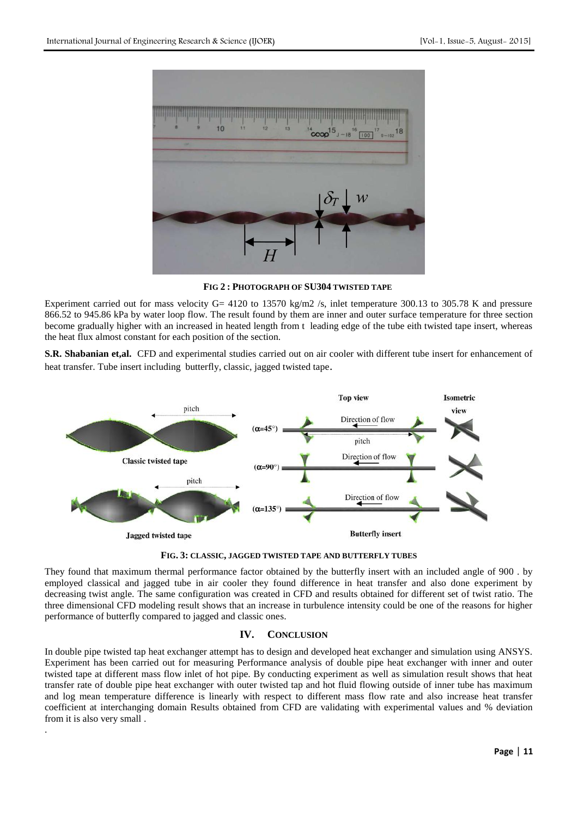.



**FIG 2 : PHOTOGRAPH OF SU304 TWISTED TAPE**

Experiment carried out for mass velocity G= 4120 to 13570 kg/m2 /s, inlet temperature 300.13 to 305.78 K and pressure 866.52 to 945.86 kPa by water loop flow. The result found by them are inner and outer surface temperature for three section become gradually higher with an increased in heated length from t leading edge of the tube eith twisted tape insert, whereas the heat flux almost constant for each position of the section.

**S.R. Shabanian et,al.** CFD and experimental studies carried out on air cooler with different tube insert for enhancement of heat transfer. Tube insert including butterfly, classic, jagged twisted tape.





They found that maximum thermal performance factor obtained by the butterfly insert with an included angle of 900 . by employed classical and jagged tube in air cooler they found difference in heat transfer and also done experiment by decreasing twist angle. The same configuration was created in CFD and results obtained for different set of twist ratio. The three dimensional CFD modeling result shows that an increase in turbulence intensity could be one of the reasons for higher performance of butterfly compared to jagged and classic ones.

## **IV. CONCLUSION**

In double pipe twisted tap heat exchanger attempt has to design and developed heat exchanger and simulation using ANSYS. Experiment has been carried out for measuring Performance analysis of double pipe heat exchanger with inner and outer twisted tape at different mass flow inlet of hot pipe. By conducting experiment as well as simulation result shows that heat transfer rate of double pipe heat exchanger with outer twisted tap and hot fluid flowing outside of inner tube has maximum and log mean temperature difference is linearly with respect to different mass flow rate and also increase heat transfer coefficient at interchanging domain Results obtained from CFD are validating with experimental values and % deviation from it is also very small .